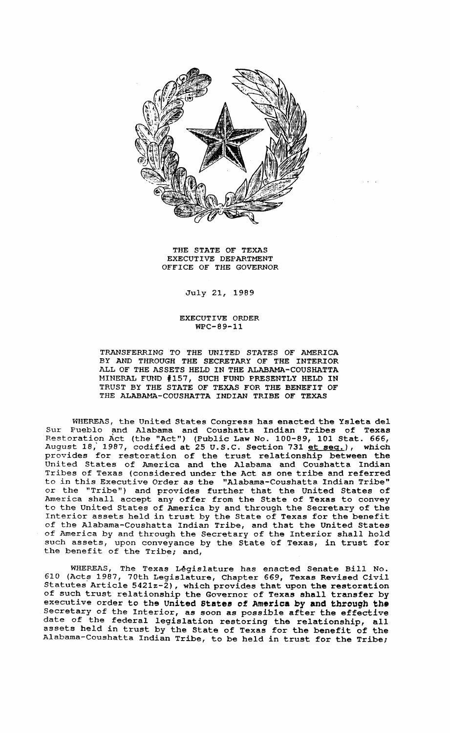

THE STATE OF TEXAS EXECUTIVE DEPARTMENT OFFICE OF THE GOVERNOR

## July 21, 1989

## EXECUTIVE ORDER WPC-89-11

TRANSFERRING TO THE UNITED STATES OF AMERICA BY AND THROUGH THE SECRETARY OF THE INTERIOR ALL OF THE ASSETS HELD IN THE ALABAMA-COUSHATTA MINERAL FUND #157, SUCH FUND PRESENTLY HELD IN TRUST BY THE STATE OF TEXAS FOR THE BENEFIT OF THE ALABAMA-COUSHATTA INDIAN TRIBE OF TEXAS

WHEREAS, the United States Congress has enacted the Ysleta del Sur Pueblo and Alabama and Coushatta Indian Tribes of Texas Restoration Act (the "Act") (Public Law No. 100-89, 101 Stat. 666, August 18, 1987, codified at 25 U.S.C. Section 731 et seg.), which provides for restoration of the trust relationship between the United States of America and the Alabama and Coushatta Indian Tribes of Texas (considered under the Act as one tribe and referred to in this Executive Order as the "Alabama-Coushatta Indian Tribe" or the "Tribe") and provides further that the United States of America shall accept any offer from the State of Texas to convey to the united States of America by and through the Secretary of the Interior assets held in trust by the State of Texas for the benefit of the Alabama-Coushatta Indian Tribe, and that the United States of America by and through the Secretary of the Interior shall hold such assets, upon conveyance by the State of Texas, in trust for the benefit of the Tribe; and,

WHEREAS, The Texas Legislature has enacted Senate Bill No. 610 (Acts 1987, 70th Legislature, Chapter 669, Texas Revised Civil Statutes Article 5421z-2), which provides that upon the restoration of such trust relationship the Governor of Texas shall transfer by executive order to the United States of America by and through the Secretary of the Interior, as soon as possible after the effective date of the federal legislation restoring the relationship, all assets held in trust by the State of Texas for the benefit of the Alabama-Coushatta Indian Tribe, to be held in trust for the Tribe;